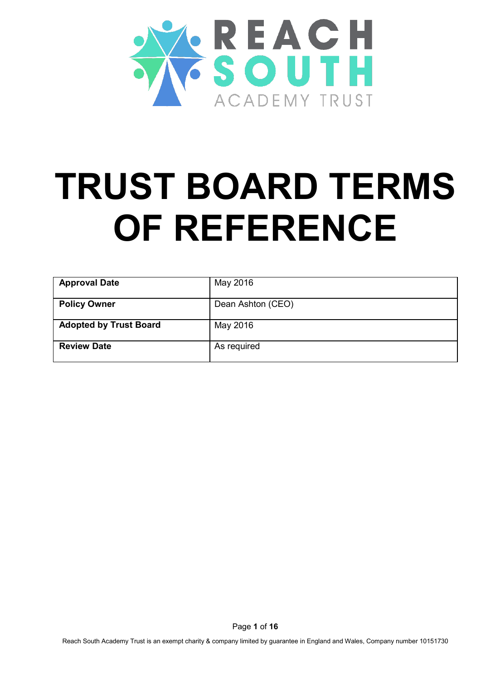

# **TRUST BOARD TERMS OF REFERENCE**

| <b>Approval Date</b>          | May 2016          |
|-------------------------------|-------------------|
| <b>Policy Owner</b>           | Dean Ashton (CEO) |
| <b>Adopted by Trust Board</b> | May 2016          |
| <b>Review Date</b>            | As required       |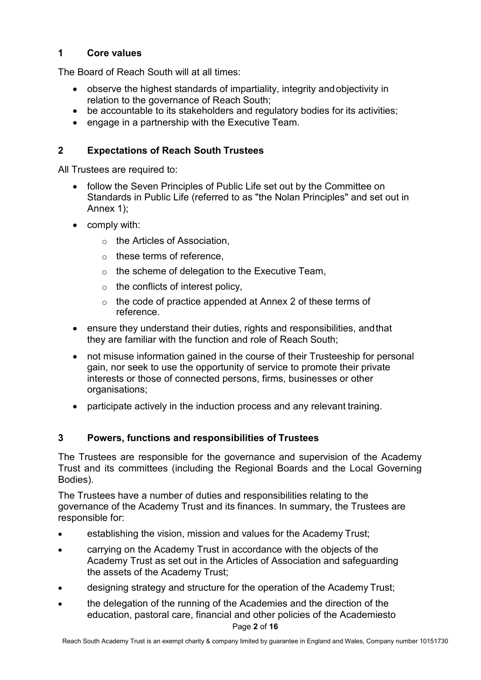## **1 Core values**

The Board of Reach South will at all times:

- observe the highest standards of impartiality, integrity andobjectivity in relation to the governance of Reach South;
- be accountable to its stakeholders and regulatory bodies for its activities;
- engage in a partnership with the Executive Team.

# **2 Expectations of Reach South Trustees**

All Trustees are required to:

- follow the Seven Principles of Public Life set out by the Committee on Standards in Public Life (referred to as "the Nolan Principles" and set out in Annex 1);
- comply with:
	- o the Articles of Association,
	- $\circ$  these terms of reference.
	- $\circ$  the scheme of delegation to the Executive Team,
	- $\circ$  the conflicts of interest policy,
	- o the code of practice appended at Annex 2 of these terms of reference.
- ensure they understand their duties, rights and responsibilities, andthat they are familiar with the function and role of Reach South;
- not misuse information gained in the course of their Trusteeship for personal gain, nor seek to use the opportunity of service to promote their private interests or those of connected persons, firms, businesses or other organisations;
- participate actively in the induction process and any relevant training.

# **3 Powers, functions and responsibilities of Trustees**

The Trustees are responsible for the governance and supervision of the Academy Trust and its committees (including the Regional Boards and the Local Governing Bodies).

The Trustees have a number of duties and responsibilities relating to the governance of the Academy Trust and its finances. In summary, the Trustees are responsible for:

- establishing the vision, mission and values for the Academy Trust;
- carrying on the Academy Trust in accordance with the objects of the Academy Trust as set out in the Articles of Association and safeguarding the assets of the Academy Trust;
- designing strategy and structure for the operation of the Academy Trust;
- Page **2** of **16** • the delegation of the running of the Academies and the direction of the education, pastoral care, financial and other policies of the Academiesto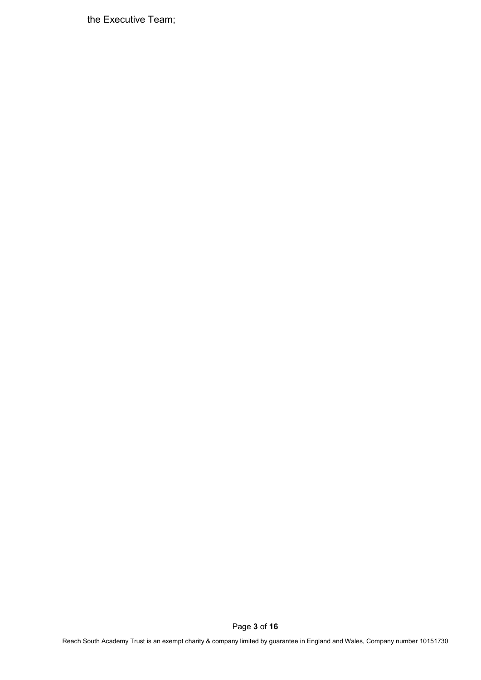the Executive Team;

Page **3** of **16**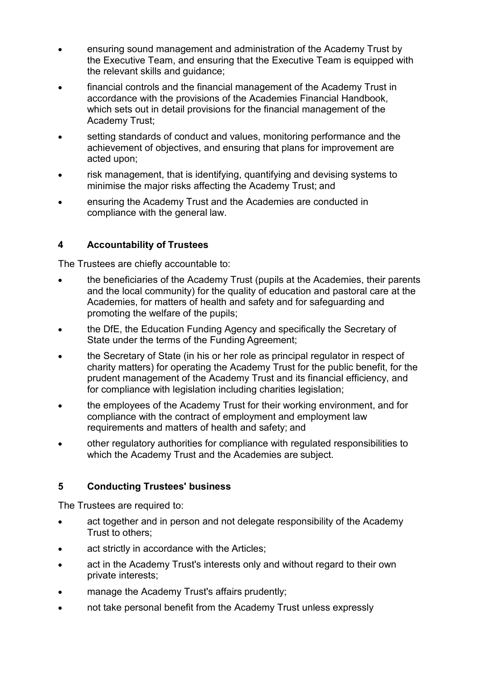- ensuring sound management and administration of the Academy Trust by the Executive Team, and ensuring that the Executive Team is equipped with the relevant skills and guidance;
- financial controls and the financial management of the Academy Trust in accordance with the provisions of the Academies Financial Handbook, which sets out in detail provisions for the financial management of the Academy Trust;
- setting standards of conduct and values, monitoring performance and the achievement of objectives, and ensuring that plans for improvement are acted upon;
- risk management, that is identifying, quantifying and devising systems to minimise the major risks affecting the Academy Trust; and
- ensuring the Academy Trust and the Academies are conducted in compliance with the general law.

# **4 Accountability of Trustees**

The Trustees are chiefly accountable to:

- the beneficiaries of the Academy Trust (pupils at the Academies, their parents and the local community) for the quality of education and pastoral care at the Academies, for matters of health and safety and for safeguarding and promoting the welfare of the pupils;
- the DfE, the Education Funding Agency and specifically the Secretary of State under the terms of the Funding Agreement;
- the Secretary of State (in his or her role as principal regulator in respect of charity matters) for operating the Academy Trust for the public benefit, for the prudent management of the Academy Trust and its financial efficiency, and for compliance with legislation including charities legislation;
- the employees of the Academy Trust for their working environment, and for compliance with the contract of employment and employment law requirements and matters of health and safety; and
- other regulatory authorities for compliance with regulated responsibilities to which the Academy Trust and the Academies are subject.

## **5 Conducting Trustees' business**

The Trustees are required to:

- act together and in person and not delegate responsibility of the Academy Trust to others;
- act strictly in accordance with the Articles;
- act in the Academy Trust's interests only and without regard to their own private interests;
- manage the Academy Trust's affairs prudently;
- not take personal benefit from the Academy Trust unless expressly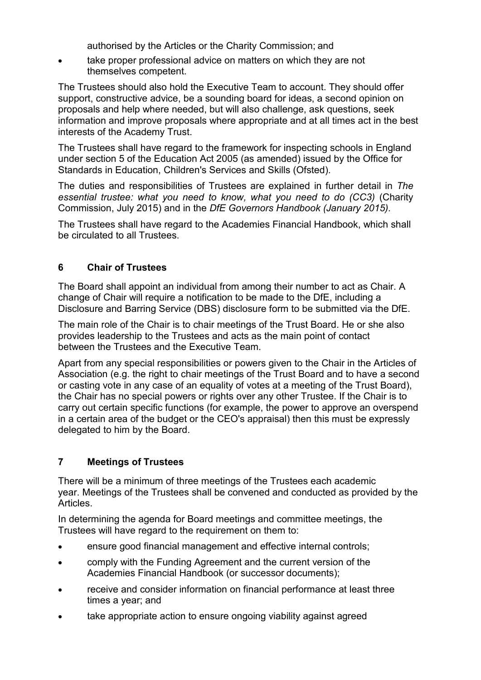authorised by the Articles or the Charity Commission; and

take proper professional advice on matters on which they are not themselves competent.

The Trustees should also hold the Executive Team to account. They should offer support, constructive advice, be a sounding board for ideas, a second opinion on proposals and help where needed, but will also challenge, ask questions, seek information and improve proposals where appropriate and at all times act in the best interests of the Academy Trust.

The Trustees shall have regard to the framework for inspecting schools in England under section 5 of the Education Act 2005 (as amended) issued by the Office for Standards in Education, Children's Services and Skills (Ofsted).

The duties and responsibilities of Trustees are explained in further detail in *The essential trustee: what you need to know, what you need to do (CC3)* (Charity Commission, July 2015) and in the *DfE Governors Handbook (January 2015).*

The Trustees shall have regard to the Academies Financial Handbook, which shall be circulated to all Trustees.

# **6 Chair of Trustees**

The Board shall appoint an individual from among their number to act as Chair. A change of Chair will require a notification to be made to the DfE, including a Disclosure and Barring Service (DBS) disclosure form to be submitted via the DfE.

The main role of the Chair is to chair meetings of the Trust Board. He or she also provides leadership to the Trustees and acts as the main point of contact between the Trustees and the Executive Team.

Apart from any special responsibilities or powers given to the Chair in the Articles of Association (e.g. the right to chair meetings of the Trust Board and to have a second or casting vote in any case of an equality of votes at a meeting of the Trust Board), the Chair has no special powers or rights over any other Trustee. If the Chair is to carry out certain specific functions (for example, the power to approve an overspend in a certain area of the budget or the CEO's appraisal) then this must be expressly delegated to him by the Board.

## **7 Meetings of Trustees**

There will be a minimum of three meetings of the Trustees each academic year. Meetings of the Trustees shall be convened and conducted as provided by the Articles.

In determining the agenda for Board meetings and committee meetings, the Trustees will have regard to the requirement on them to:

- ensure good financial management and effective internal controls;
- comply with the Funding Agreement and the current version of the Academies Financial Handbook (or successor documents);
- receive and consider information on financial performance at least three times a year; and
- take appropriate action to ensure ongoing viability against agreed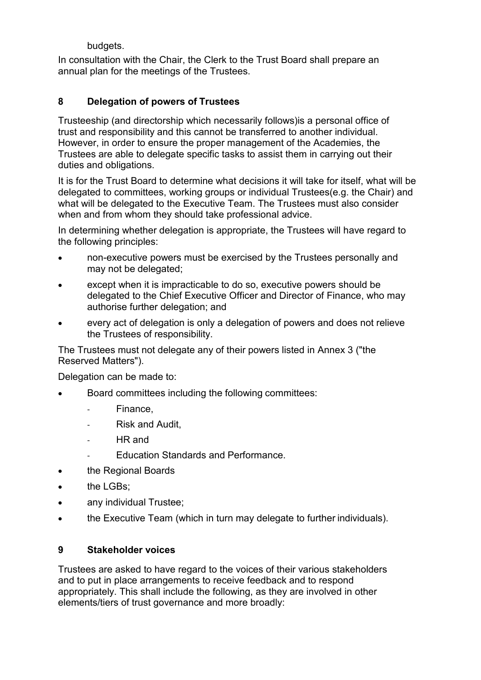budgets.

In consultation with the Chair, the Clerk to the Trust Board shall prepare an annual plan for the meetings of the Trustees.

# **8 Delegation of powers of Trustees**

Trusteeship (and directorship which necessarily follows)is a personal office of trust and responsibility and this cannot be transferred to another individual. However, in order to ensure the proper management of the Academies, the Trustees are able to delegate specific tasks to assist them in carrying out their duties and obligations.

It is for the Trust Board to determine what decisions it will take for itself, what will be delegated to committees, working groups or individual Trustees(e.g. the Chair) and what will be delegated to the Executive Team. The Trustees must also consider when and from whom they should take professional advice.

In determining whether delegation is appropriate, the Trustees will have regard to the following principles:

- non-executive powers must be exercised by the Trustees personally and may not be delegated;
- except when it is impracticable to do so, executive powers should be delegated to the Chief Executive Officer and Director of Finance, who may authorise further delegation; and
- every act of delegation is only a delegation of powers and does not relieve the Trustees of responsibility.

The Trustees must not delegate any of their powers listed in Annex 3 ("the Reserved Matters").

Delegation can be made to:

- Board committees including the following committees:
	- Finance,
	- Risk and Audit,
	- HR and
	- Education Standards and Performance.
- the Regional Boards
- the LGBs;
- any individual Trustee;
- the Executive Team (which in turn may delegate to further individuals).

## **9 Stakeholder voices**

Trustees are asked to have regard to the voices of their various stakeholders and to put in place arrangements to receive feedback and to respond appropriately. This shall include the following, as they are involved in other elements/tiers of trust governance and more broadly: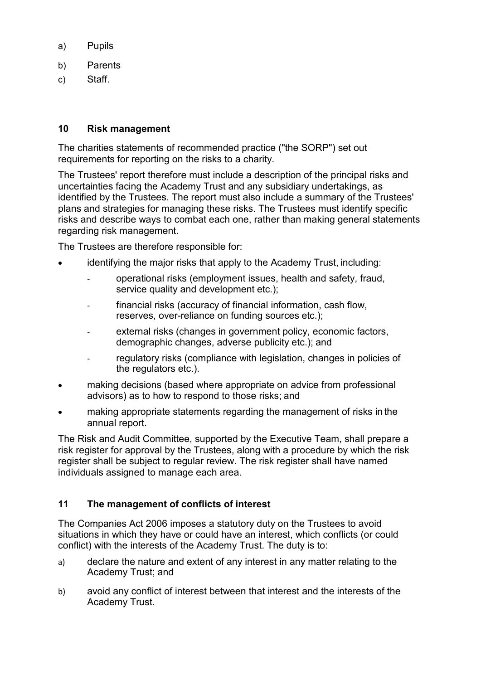- a) Pupils
- b) Parents
- c) Staff.

#### **10 Risk management**

The charities statements of recommended practice ("the SORP") set out requirements for reporting on the risks to a charity.

The Trustees' report therefore must include a description of the principal risks and uncertainties facing the Academy Trust and any subsidiary undertakings, as identified by the Trustees. The report must also include a summary of the Trustees' plans and strategies for managing these risks. The Trustees must identify specific risks and describe ways to combat each one, rather than making general statements regarding risk management.

The Trustees are therefore responsible for:

- identifying the major risks that apply to the Academy Trust, including:
	- operational risks (employment issues, health and safety, fraud, service quality and development etc.);
	- financial risks (accuracy of financial information, cash flow, reserves, over-reliance on funding sources etc.);
	- external risks (changes in government policy, economic factors, demographic changes, adverse publicity etc.); and
	- regulatory risks (compliance with legislation, changes in policies of the regulators etc.).
- making decisions (based where appropriate on advice from professional advisors) as to how to respond to those risks; and
- making appropriate statements regarding the management of risks in the annual report.

The Risk and Audit Committee, supported by the Executive Team, shall prepare a risk register for approval by the Trustees, along with a procedure by which the risk register shall be subject to regular review. The risk register shall have named individuals assigned to manage each area.

## **11 The management of conflicts of interest**

The Companies Act 2006 imposes a statutory duty on the Trustees to avoid situations in which they have or could have an interest, which conflicts (or could conflict) with the interests of the Academy Trust. The duty is to:

- a) declare the nature and extent of any interest in any matter relating to the Academy Trust; and
- b) avoid any conflict of interest between that interest and the interests of the Academy Trust.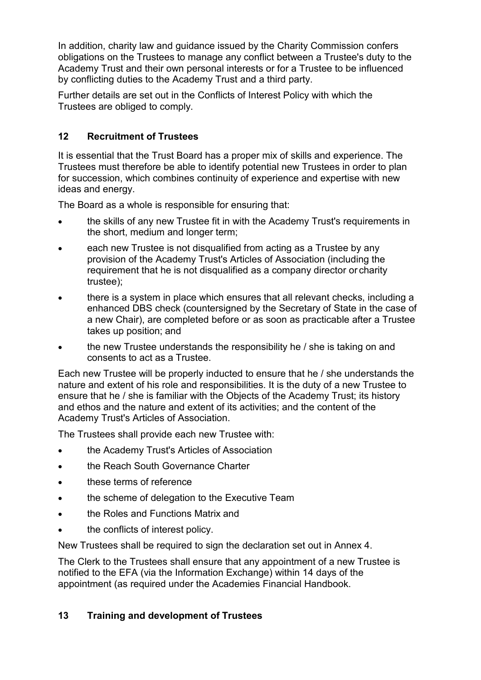In addition, charity law and guidance issued by the Charity Commission confers obligations on the Trustees to manage any conflict between a Trustee's duty to the Academy Trust and their own personal interests or for a Trustee to be influenced by conflicting duties to the Academy Trust and a third party.

Further details are set out in the Conflicts of Interest Policy with which the Trustees are obliged to comply.

# **12 Recruitment of Trustees**

It is essential that the Trust Board has a proper mix of skills and experience. The Trustees must therefore be able to identify potential new Trustees in order to plan for succession, which combines continuity of experience and expertise with new ideas and energy.

The Board as a whole is responsible for ensuring that:

- the skills of any new Trustee fit in with the Academy Trust's requirements in the short, medium and longer term;
- each new Trustee is not disqualified from acting as a Trustee by any provision of the Academy Trust's Articles of Association (including the requirement that he is not disqualified as a company director or charity trustee);
- there is a system in place which ensures that all relevant checks, including a enhanced DBS check (countersigned by the Secretary of State in the case of a new Chair), are completed before or as soon as practicable after a Trustee takes up position; and
- the new Trustee understands the responsibility he / she is taking on and consents to act as a Trustee.

Each new Trustee will be properly inducted to ensure that he / she understands the nature and extent of his role and responsibilities. It is the duty of a new Trustee to ensure that he / she is familiar with the Objects of the Academy Trust; its history and ethos and the nature and extent of its activities; and the content of the Academy Trust's Articles of Association.

The Trustees shall provide each new Trustee with:

- the Academy Trust's Articles of Association
- the Reach South Governance Charter
- these terms of reference
- the scheme of delegation to the Executive Team
- the Roles and Functions Matrix and
- the conflicts of interest policy.

New Trustees shall be required to sign the declaration set out in Annex 4.

The Clerk to the Trustees shall ensure that any appointment of a new Trustee is notified to the EFA (via the Information Exchange) within 14 days of the appointment (as required under the Academies Financial Handbook.

# **13 Training and development of Trustees**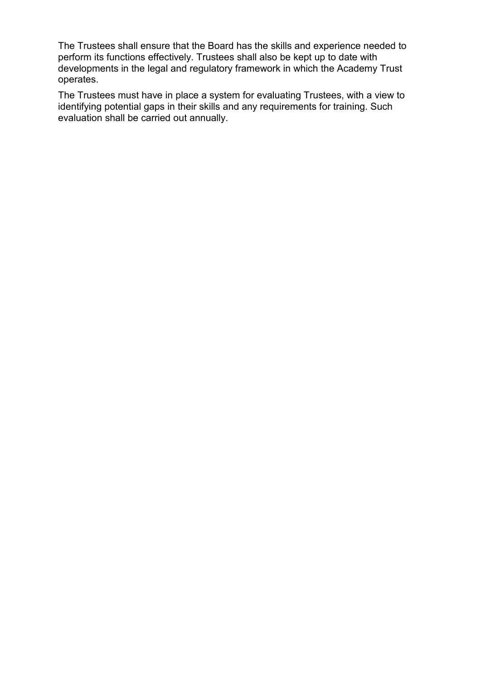The Trustees shall ensure that the Board has the skills and experience needed to perform its functions effectively. Trustees shall also be kept up to date with developments in the legal and regulatory framework in which the Academy Trust operates.

The Trustees must have in place a system for evaluating Trustees, with a view to identifying potential gaps in their skills and any requirements for training. Such evaluation shall be carried out annually.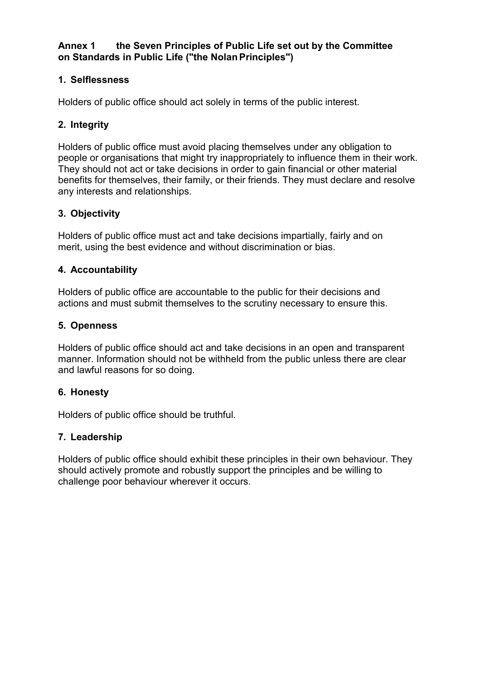## **Annex 1 the Seven Principles of Public Life set out by the Committee on Standards in Public Life ("the NolanPrinciples")**

# **1. Selflessness**

Holders of public office should act solely in terms of the public interest.

#### **2. Integrity**

Holders of public office must avoid placing themselves under any obligation to people or organisations that might try inappropriately to influence them in their work. They should not act or take decisions in order to gain financial or other material benefits for themselves, their family, or their friends. They must declare and resolve any interests and relationships.

#### **3. Objectivity**

Holders of public office must act and take decisions impartially, fairly and on merit, using the best evidence and without discrimination or bias.

#### **4. Accountability**

Holders of public office are accountable to the public for their decisions and actions and must submit themselves to the scrutiny necessary to ensure this.

#### **5. Openness**

Holders of public office should act and take decisions in an open and transparent manner. Information should not be withheld from the public unless there are clear and lawful reasons for so doing.

## **6. Honesty**

Holders of public office should be truthful.

## **7. Leadership**

Holders of public office should exhibit these principles in their own behaviour. They should actively promote and robustly support the principles and be willing to challenge poor behaviour wherever it occurs.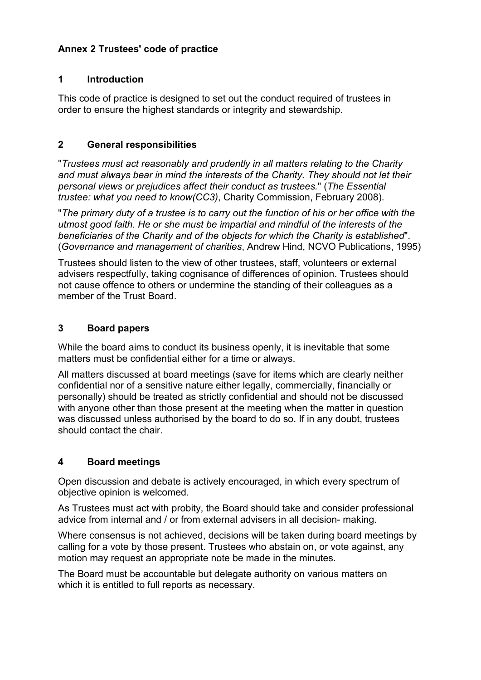# **Annex 2 Trustees' code of practice**

#### **1 Introduction**

This code of practice is designed to set out the conduct required of trustees in order to ensure the highest standards or integrity and stewardship.

#### **2 General responsibilities**

"*Trustees must act reasonably and prudently in all matters relating to the Charity and must always bear in mind the interests of the Charity. They should not let their personal views or prejudices affect their conduct as trustees.*" (*The Essential trustee: what you need to know(CC3)*, Charity Commission, February 2008).

"*The primary duty of a trustee is to carry out the function of his or her office with the utmost good faith. He or she must be impartial and mindful of the interests of the beneficiaries of the Charity and of the objects for which the Charity is established*". (*Governance and management of charities*, Andrew Hind, NCVO Publications, 1995)

Trustees should listen to the view of other trustees, staff, volunteers or external advisers respectfully, taking cognisance of differences of opinion. Trustees should not cause offence to others or undermine the standing of their colleagues as a member of the Trust Board.

#### **3 Board papers**

While the board aims to conduct its business openly, it is inevitable that some matters must be confidential either for a time or always.

All matters discussed at board meetings (save for items which are clearly neither confidential nor of a sensitive nature either legally, commercially, financially or personally) should be treated as strictly confidential and should not be discussed with anyone other than those present at the meeting when the matter in question was discussed unless authorised by the board to do so. If in any doubt, trustees should contact the chair.

## **4 Board meetings**

Open discussion and debate is actively encouraged, in which every spectrum of objective opinion is welcomed.

As Trustees must act with probity, the Board should take and consider professional advice from internal and / or from external advisers in all decision- making.

Where consensus is not achieved, decisions will be taken during board meetings by calling for a vote by those present. Trustees who abstain on, or vote against, any motion may request an appropriate note be made in the minutes.

The Board must be accountable but delegate authority on various matters on which it is entitled to full reports as necessary.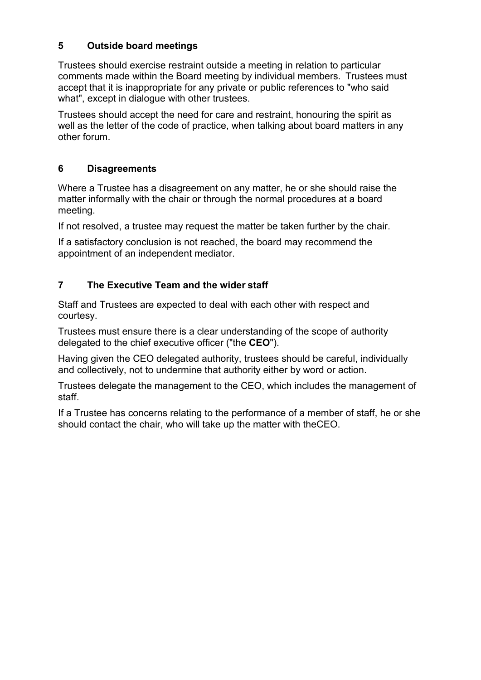# **5 Outside board meetings**

Trustees should exercise restraint outside a meeting in relation to particular comments made within the Board meeting by individual members. Trustees must accept that it is inappropriate for any private or public references to "who said what", except in dialogue with other trustees.

Trustees should accept the need for care and restraint, honouring the spirit as well as the letter of the code of practice, when talking about board matters in any other forum.

## **6 Disagreements**

Where a Trustee has a disagreement on any matter, he or she should raise the matter informally with the chair or through the normal procedures at a board meeting.

If not resolved, a trustee may request the matter be taken further by the chair.

If a satisfactory conclusion is not reached, the board may recommend the appointment of an independent mediator.

# **7 The Executive Team and the wider staff**

Staff and Trustees are expected to deal with each other with respect and courtesy.

Trustees must ensure there is a clear understanding of the scope of authority delegated to the chief executive officer ("the **CEO**").

Having given the CEO delegated authority, trustees should be careful, individually and collectively, not to undermine that authority either by word or action.

Trustees delegate the management to the CEO, which includes the management of staff.

If a Trustee has concerns relating to the performance of a member of staff, he or she should contact the chair, who will take up the matter with theCEO.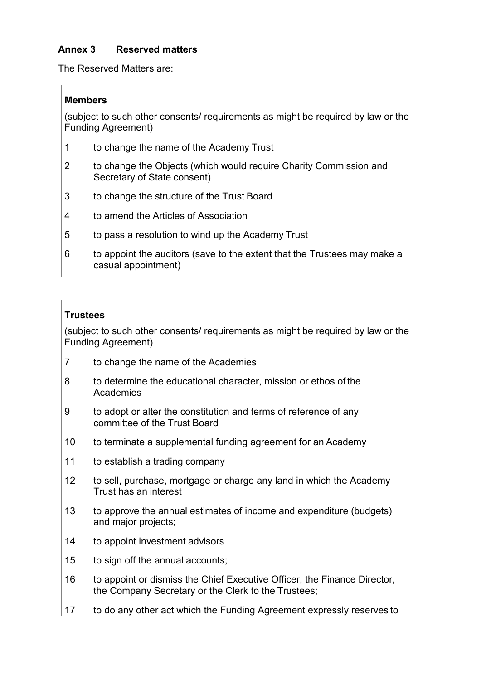## **Annex 3 Reserved matters**

The Reserved Matters are:

#### **Members**

(subject to such other consents/ requirements as might be required by law or the Funding Agreement)

- 1 to change the name of the Academy Trust
- 2 to change the Objects (which would require Charity Commission and Secretary of State consent)
- 3 to change the structure of the Trust Board
- 4 to amend the Articles of Association
- 5 to pass a resolution to wind up the Academy Trust
- 6 to appoint the auditors (save to the extent that the Trustees may make a casual appointment)

#### **Trustees**

(subject to such other consents/ requirements as might be required by law or the Funding Agreement)

- 7 to change the name of the Academies
- 8 to determine the educational character, mission or ethos of the **Academies**
- 9 to adopt or alter the constitution and terms of reference of any committee of the Trust Board
- 10 to terminate a supplemental funding agreement for an Academy
- 11 to establish a trading company
- 12 to sell, purchase, mortgage or charge any land in which the Academy Trust has an interest
- 13 to approve the annual estimates of income and expenditure (budgets) and major projects;
- 14 to appoint investment advisors
- 15 to sign off the annual accounts;
- 16 to appoint or dismiss the Chief Executive Officer, the Finance Director, the Company Secretary or the Clerk to the Trustees;
- 17 to do any other act which the Funding Agreement expressly reserves to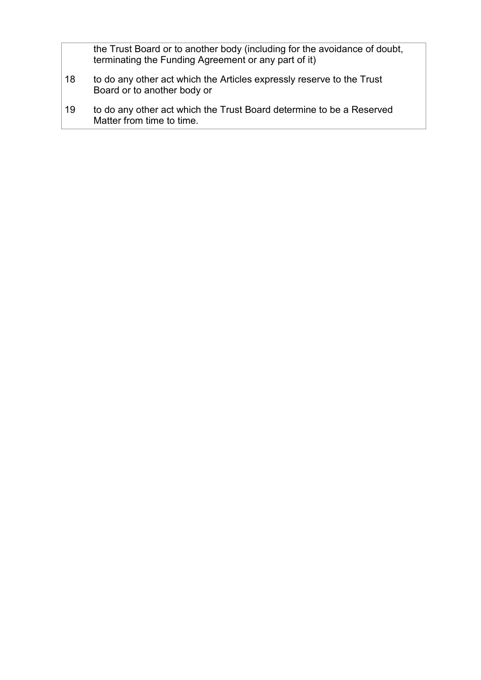the Trust Board or to another body (including for the avoidance of doubt, terminating the Funding Agreement or any part of it)

- 18 to do any other act which the Articles expressly reserve to the Trust Board or to another body or
- 19 to do any other act which the Trust Board determine to be a Reserved Matter from time to time.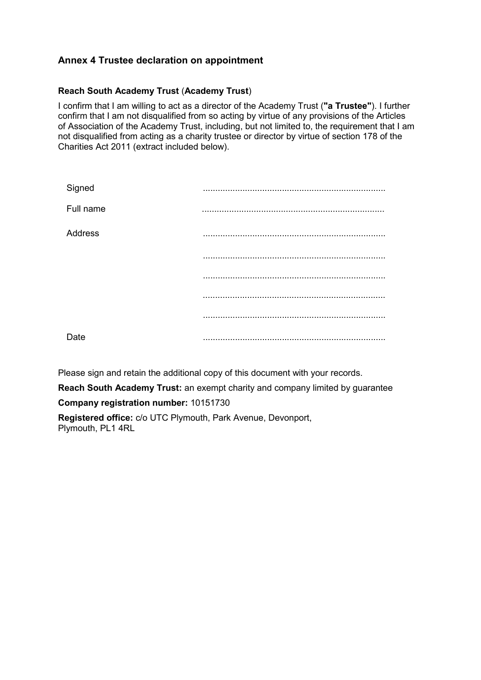## **Annex 4 Trustee declaration on appointment**

#### **Reach South Academy Trust** (**Academy Trust**)

I confirm that I am willing to act as a director of the Academy Trust (**"a Trustee"**). I further confirm that I am not disqualified from so acting by virtue of any provisions of the Articles of Association of the Academy Trust, including, but not limited to, the requirement that I am not disqualified from acting as a charity trustee or director by virtue of section 178 of the Charities Act 2011 (extract included below).

| Signed    |        |
|-----------|--------|
| Full name | .<br>. |
| Address   |        |
|           |        |
|           |        |
|           |        |
|           |        |
| Date      |        |

Please sign and retain the additional copy of this document with your records.

**Reach South Academy Trust:** an exempt charity and company limited by guarantee **Company registration number:** 10151730

**Registered office:** c/o UTC Plymouth, Park Avenue, Devonport, Plymouth, PL1 4RL